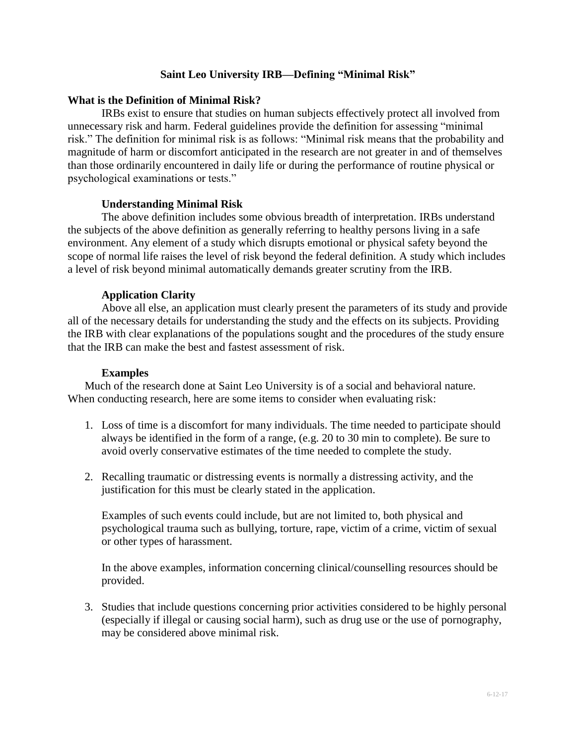# **Saint Leo University IRB—Defining "Minimal Risk"**

#### **What is the Definition of Minimal Risk?**

IRBs exist to ensure that studies on human subjects effectively protect all involved from unnecessary risk and harm. Federal guidelines provide the definition for assessing "minimal risk." The definition for minimal risk is as follows: "Minimal risk means that the probability and magnitude of harm or discomfort anticipated in the research are not greater in and of themselves than those ordinarily encountered in daily life or during the performance of routine physical or psychological examinations or tests."

## **Understanding Minimal Risk**

The above definition includes some obvious breadth of interpretation. IRBs understand the subjects of the above definition as generally referring to healthy persons living in a safe environment. Any element of a study which disrupts emotional or physical safety beyond the scope of normal life raises the level of risk beyond the federal definition. A study which includes a level of risk beyond minimal automatically demands greater scrutiny from the IRB.

## **Application Clarity**

Above all else, an application must clearly present the parameters of its study and provide all of the necessary details for understanding the study and the effects on its subjects. Providing the IRB with clear explanations of the populations sought and the procedures of the study ensure that the IRB can make the best and fastest assessment of risk.

#### **Examples**

Much of the research done at Saint Leo University is of a social and behavioral nature. When conducting research, here are some items to consider when evaluating risk:

- 1. Loss of time is a discomfort for many individuals. The time needed to participate should always be identified in the form of a range, (e.g. 20 to 30 min to complete). Be sure to avoid overly conservative estimates of the time needed to complete the study.
- 2. Recalling traumatic or distressing events is normally a distressing activity, and the justification for this must be clearly stated in the application.

Examples of such events could include, but are not limited to, both physical and psychological trauma such as bullying, torture, rape, victim of a crime, victim of sexual or other types of harassment.

In the above examples, information concerning clinical/counselling resources should be provided.

3. Studies that include questions concerning prior activities considered to be highly personal (especially if illegal or causing social harm), such as drug use or the use of pornography, may be considered above minimal risk.